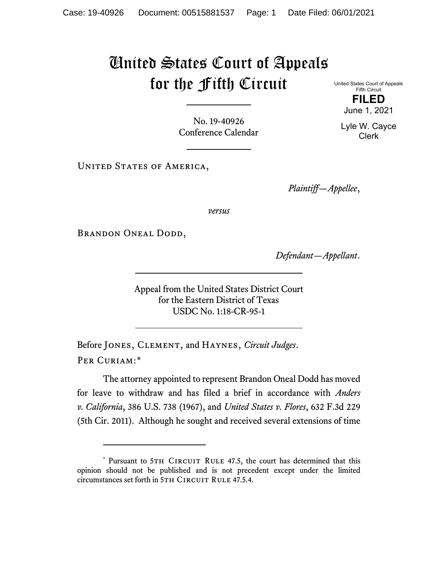## United States Court of Appeals for the Fifth Circuit

No. 19-40926 Conference Calendar

UNITED STATES OF AMERICA,

*Plaintiff—Appellee*,

*versus*

BRANDON ONEAL DODD,

*Defendant—Appellant*.

Appeal from the United States District Court for the Eastern District of Texas USDC No. 1:18-CR-95-1

Before Jones, Clement, and Haynes, *Circuit Judges*. Per Curiam:[\\*](#page-0-0)

The attorney appointed to represent Brandon Oneal Dodd has moved for leave to withdraw and has filed a brief in accordance with *Anders v. California*, 386 U.S. 738 (1967), and *United States v. Flores*, 632 F.3d 229 (5th Cir. 2011). Although he sought and received several extensions of time

United States Court of Appeals Fifth Circuit **FILED**

June 1, 2021

Lyle W. Cayce Clerk

<span id="page-0-0"></span><sup>\*</sup> Pursuant to 5TH CIRCUIT RULE 47.5, the court has determined that this opinion should not be published and is not precedent except under the limited circumstances set forth in 5TH CIRCUIT RULE 47.5.4.